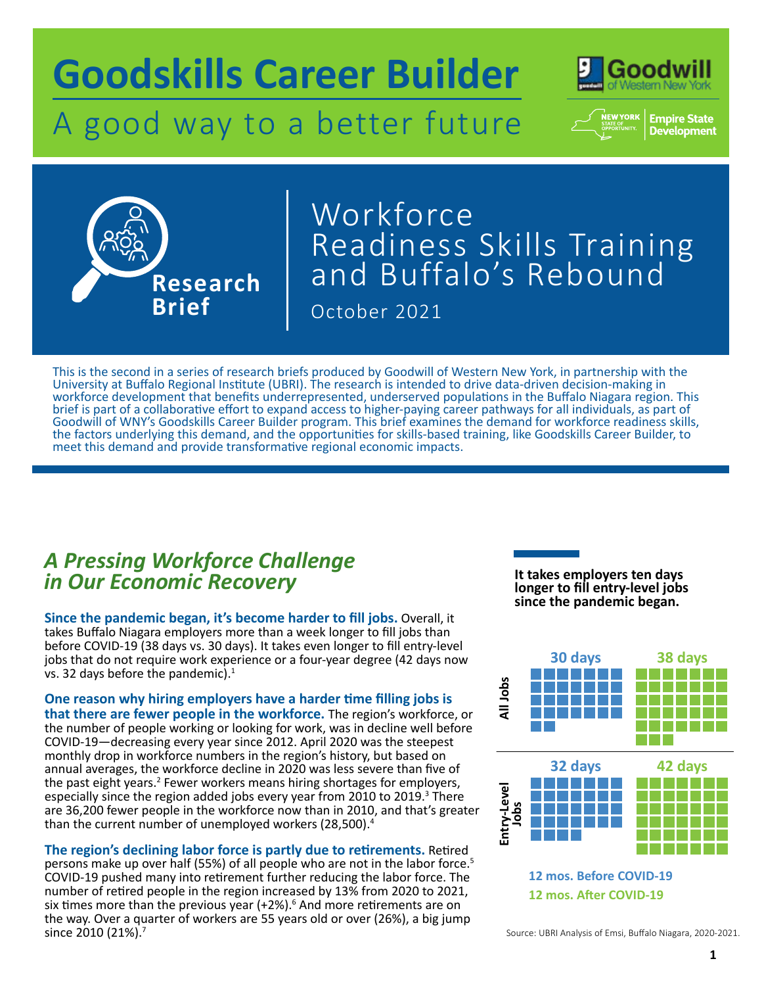# **Goodskills Career Builder**

## A good way to a better future



**Empire State**<br>Development



## October 2021 Workforce Readiness Skills Training and Buffalo's Rebound

This is the second in a series of research briefs produced by Goodwill of Western New York, in partnership with the University at Buffalo Regional Institute (UBRI). The research is intended to drive data-driven decision-making in workforce development that benefits underrepresented, underserved populations in the Buffalo Niagara region. This brief is part of a collaborative effort to expand access to higher-paying career pathways for all individuals, as part of Goodwill of WNY's Goodskills Career Builder program. This brief examines the demand for workforce readiness skills, the factors underlying this demand, and the opportunities for skills-based training, like Goodskills Career Builder, to meet this demand and provide transformative regional economic impacts.

## *A Pressing Workforce Challenge in Our Economic Recovery*

**Since the pandemic began, it's become harder to fill jobs.** Overall, it takes Buffalo Niagara employers more than a week longer to fill jobs than before COVID-19 (38 days vs. 30 days). It takes even longer to fill entry-level jobs that do not require work experience or a four-year degree (42 days now vs. 32 days before the pandemic). $1$ 

**One reason why hiring employers have a harder time filling jobs is that there are fewer people in the workforce.** The region's workforce, or the number of people working or looking for work, was in decline well before COVID-19—decreasing every year since 2012. April 2020 was the steepest monthly drop in workforce numbers in the region's history, but based on annual averages, the workforce decline in 2020 was less severe than five of the past eight years.<sup>2</sup> Fewer workers means hiring shortages for employers, especially since the region added jobs every year from 2010 to 2019.<sup>3</sup> There are 36,200 fewer people in the workforce now than in 2010, and that's greater than the current number of unemployed workers (28,500).<sup>4</sup>

**The region's declining labor force is partly due to retirements.** Retired persons make up over half (55%) of all people who are not in the labor force.<sup>5</sup> COVID-19 pushed many into retirement further reducing the labor force. The number of retired people in the region increased by 13% from 2020 to 2021, six times more than the previous year  $(+2%)$ .<sup>6</sup> And more retirements are on the way. Over a quarter of workers are 55 years old or over (26%), a big jump since 2010 (21%).<sup>7</sup>

**It takes employers ten days longer to fill entry-level jobs since the pandemic began.**



Source: UBRI Analysis of Emsi, Buffalo Niagara, 2020-2021.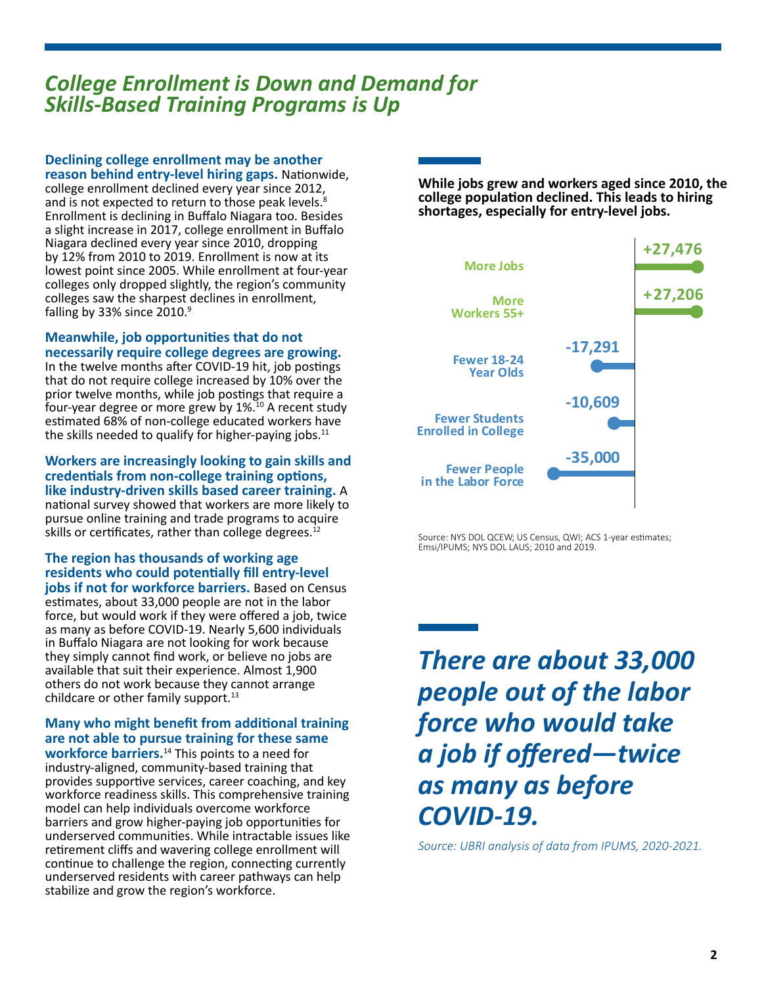## *College Enrollment is Down and Demand for Skills-Based Training Programs is Up*

**Declining college enrollment may be another reason behind entry-level hiring gaps.** Nationwide,

college enrollment declined every year since 2012, and is not expected to return to those peak levels.<sup>8</sup> Enrollment is declining in Buffalo Niagara too. Besides a slight increase in 2017, college enrollment in Buffalo Niagara declined every year since 2010, dropping by 12% from 2010 to 2019. Enrollment is now at its lowest point since 2005. While enrollment at four-year colleges only dropped slightly, the region's community colleges saw the sharpest declines in enrollment, falling by 33% since 2010.9

**Meanwhile, job opportunities that do not necessarily require college degrees are growing.** 

In the twelve months after COVID-19 hit, job postings that do not require college increased by 10% over the prior twelve months, while job postings that require a four-year degree or more grew by 1%.10 A recent study estimated 68% of non-college educated workers have the skills needed to qualify for higher-paying jobs.<sup>11</sup>

#### **Workers are increasingly looking to gain skills and credentials from non-college training options, like industry-driven skills based career training.** A national survey showed that workers are more likely to pursue online training and trade programs to acquire skills or certificates, rather than college degrees.<sup>12</sup>

#### **The region has thousands of working age residents who could potentially fill entry-level jobs if not for workforce barriers.** Based on Census

estimates, about 33,000 people are not in the labor force, but would work if they were offered a job, twice as many as before COVID-19. Nearly 5,600 individuals in Buffalo Niagara are not looking for work because they simply cannot find work, or believe no jobs are available that suit their experience. Almost 1,900 others do not work because they cannot arrange childcare or other family support.<sup>13</sup>

### **Many who might benefit from additional training are not able to pursue training for these same**

**workforce barriers.**14 This points to a need for industry-aligned, community-based training that provides supportive services, career coaching, and key workforce readiness skills. This comprehensive training model can help individuals overcome workforce barriers and grow higher-paying job opportunities for underserved communities. While intractable issues like retirement cliffs and wavering college enrollment will continue to challenge the region, connecting currently underserved residents with career pathways can help stabilize and grow the region's workforce.

**While jobs grew and workers aged since 2010, the college population declined. This leads to hiring shortages, especially for entry-level jobs.**



Source: NYS DOL QCEW; US Census, QWI; ACS 1-year estimates; Emsi/IPUMS; NYS DOL LAUS; 2010 and 2019.

*There are about 33,000 people out of the labor force who would take a job if offered—twice as many as before COVID-19.* 

*Source: UBRI analysis of data from IPUMS, 2020-2021.*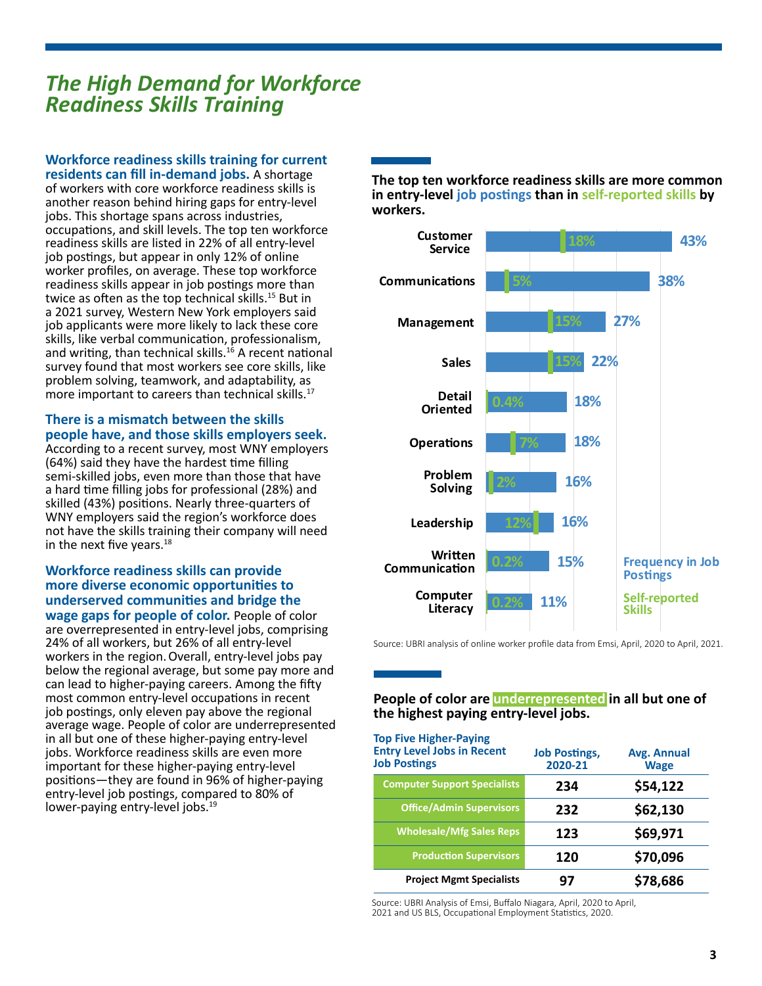## *The High Demand for Workforce Readiness Skills Training*  **Entry-Level Jobs**

#### **12 mos. A�er COVID-19 Workforce readiness skills training for current residents can fill in-demand jobs.** A shortage

**+27,476** more important to careers than technical skills.17 of workers with core workforce readiness skills is another reason behind hiring gaps for entry-level jobs. This shortage spans across industries, occupations, and skill levels. The top ten workforce readiness skills are listed in 22% of all entry-level job postings, but appear in only 12% of online worker profiles, on average. These top workforce readiness skills appear in job postings more than twice as often as the top technical skills.<sup>15</sup> But in a 2021 survey, Western New York employers said job applicants were more likely to lack these core skills, like verbal communication, professionalism, and writing, than technical skills.<sup>16</sup> A recent national survey found that most workers see core skills, like problem solving, teamwork, and adaptability, as

#### **+27,206 people have, and those skills employers seek. More Jobs There is a mismatch between the skills**

**-17,291** a hard time filling jobs for professional (28%) and **Fewer 18-24** skilled (43%) positions. Nearly three-quarters of WNY employers said the region's workforce does **More** According to a recent survey, most WNY employers According to a recent survey, most wive emploded to a recent survey. semi-skilled jobs, even more than those that have not have the skills training their company will need in the next five years. $18$ 

#### **-35,000 underserved communities and bridge the Fewer Students Workforce readiness skills can provide more diverse economic opportunities to**

**Fewer People wage gaps for people of color.** People of color **in the gap of the propriet of server** copies of series 24% of all workers, but 26% of all entry-level workers in the region.Overall, entry-level jobs pay below the regional average, but some pay more and can lead to higher-paying careers. Among the fifty most common entry-level occupations in recent job postings, only eleven pay above the regional average wage. People of color are underrepresented in all but one of these higher-paying entry-level jobs. Workforce readiness skills are even more important for these higher-paying entry-level positions—they are found in 96% of higher-paying entry-level job postings, compared to 80% of lower-paying entry-level jobs.<sup>19</sup>

**The top ten workforce readiness skills are more common in entry-level job postings than in self-reported skills by workers.**



Source: UBRI analysis of online worker profile data from Emsi, April, 2020 to April, 2021.

#### **People of color are underrepresented in all but one of the highest paying entry-level jobs.**

| <b>Top Five Higher-Paying</b><br><b>Entry Level Jobs in Recent</b><br><b>Job Postings</b> | <b>Job Postings,</b><br>2020-21 | Avg. Annual<br><b>Wage</b> |
|-------------------------------------------------------------------------------------------|---------------------------------|----------------------------|
| <b>Computer Support Specialists</b>                                                       | 234                             | \$54,122                   |
| <b>Office/Admin Supervisors</b>                                                           | 232                             | \$62,130                   |
| <b>Wholesale/Mfg Sales Reps</b>                                                           | 123                             | \$69,971                   |
| <b>Production Supervisors</b>                                                             | 120                             | \$70,096                   |
| <b>Project Mgmt Specialists</b>                                                           |                                 | \$78,686                   |

Source: UBRI Analysis of Emsi, Buffalo Niagara, April, 2020 to April, 2021 and US BLS, Occupational Employment Statistics, 2020.